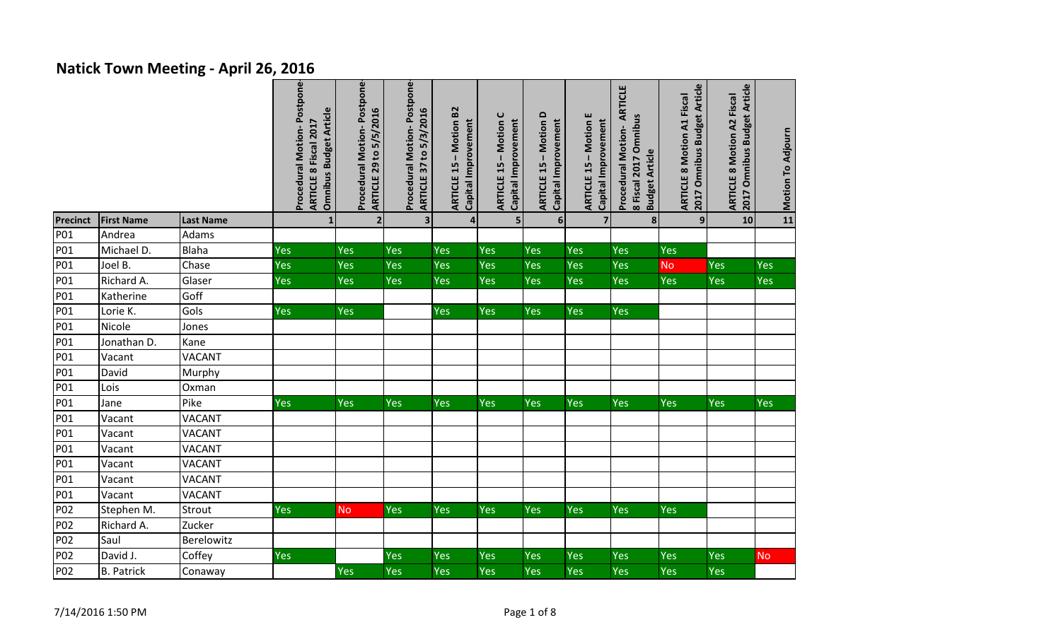## **Natick Town Meeting - April 26, 2016**

|                 |                   |                  | Procedural Motion-Postpone-<br><b>Omnibus Budget Article</b><br>ARTICLE 8 Fiscal 2017 | Procedural Motion-Postpone-<br><b>ARTICLE 29 to 5/5/2016</b> | Procedural Motion-Postpone-<br>ARTICLE 37 to 5/3/2016 | <b>ARTICLE 15 - Motion B2</b><br>Capital Improvement | - Motion C<br>Capital Improvement<br><b>ARTICLE 15</b> | <b>ARTICLE 15 - Motion D</b><br>Capital Improvement | <b>ARTICLE 15 - Motion E</b><br>Capital Improvement | ARTICLE<br>8 Fiscal 2017 Omnibus<br>Procedural Motion-<br><b>Budget Article</b> | 2017 Omnibus Budget Article<br><b>ARTICLE 8 Motion A1 Fiscal</b> | 2017 Omnibus Budget Article<br><b>ARTICLE 8 Motion A2 Fiscal</b> | Motion To Adjourn |
|-----------------|-------------------|------------------|---------------------------------------------------------------------------------------|--------------------------------------------------------------|-------------------------------------------------------|------------------------------------------------------|--------------------------------------------------------|-----------------------------------------------------|-----------------------------------------------------|---------------------------------------------------------------------------------|------------------------------------------------------------------|------------------------------------------------------------------|-------------------|
| <b>Precinct</b> | <b>First Name</b> | <b>Last Name</b> | $\mathbf{1}$                                                                          | $\overline{2}$                                               | $\overline{\mathbf{3}}$                               | 4 <sup>1</sup>                                       | 5                                                      | 6                                                   | $\overline{\mathbf{z}}$                             | 8                                                                               | 9 <sup>1</sup>                                                   | 10                                                               |                   |
| P01             | Andrea            | Adams            |                                                                                       |                                                              |                                                       |                                                      |                                                        |                                                     |                                                     |                                                                                 |                                                                  |                                                                  |                   |
| P01             | Michael D.        | Blaha            | Yes                                                                                   | Yes                                                          | Yes                                                   | <b>Yes</b>                                           | Yes                                                    | Yes                                                 | Yes                                                 | Yes                                                                             | Yes                                                              |                                                                  |                   |
| <b>P01</b>      | Joel B.           | Chase            | Yes                                                                                   | Yes                                                          | Yes                                                   | Yes                                                  | Yes                                                    | Yes                                                 | Yes                                                 | Yes                                                                             | <b>No</b>                                                        | Yes                                                              | Yes               |
| P01             | Richard A.        | Glaser           | Yes                                                                                   | Yes                                                          | Yes                                                   | Yes                                                  | Yes                                                    | Yes                                                 | Yes                                                 | Yes                                                                             | Yes                                                              | Yes                                                              | Yes               |
| P01             | Katherine         | Goff             |                                                                                       |                                                              |                                                       |                                                      |                                                        |                                                     |                                                     |                                                                                 |                                                                  |                                                                  |                   |
| P01             | Lorie K.          | Gols             | Yes                                                                                   | Yes                                                          |                                                       | Yes                                                  | Yes                                                    | Yes                                                 | Yes                                                 | Yes                                                                             |                                                                  |                                                                  |                   |
| P01             | Nicole            | Jones            |                                                                                       |                                                              |                                                       |                                                      |                                                        |                                                     |                                                     |                                                                                 |                                                                  |                                                                  |                   |
| P01             | Jonathan D.       | Kane             |                                                                                       |                                                              |                                                       |                                                      |                                                        |                                                     |                                                     |                                                                                 |                                                                  |                                                                  |                   |
| P01             | Vacant            | <b>VACANT</b>    |                                                                                       |                                                              |                                                       |                                                      |                                                        |                                                     |                                                     |                                                                                 |                                                                  |                                                                  |                   |
| P01             | David             | Murphy           |                                                                                       |                                                              |                                                       |                                                      |                                                        |                                                     |                                                     |                                                                                 |                                                                  |                                                                  |                   |
| P01             | Lois              | Oxman            |                                                                                       |                                                              |                                                       |                                                      |                                                        |                                                     |                                                     |                                                                                 |                                                                  |                                                                  |                   |
| P01             | Jane              | Pike             | <b>Yes</b>                                                                            | Yes                                                          | <b>Yes</b>                                            | <b>Yes</b>                                           | Yes                                                    | <b>Yes</b>                                          | Yes                                                 | Yes                                                                             | <b>Yes</b>                                                       | <b>Yes</b>                                                       | <b>Yes</b>        |
| P01             | Vacant            | <b>VACANT</b>    |                                                                                       |                                                              |                                                       |                                                      |                                                        |                                                     |                                                     |                                                                                 |                                                                  |                                                                  |                   |
| P01             | Vacant            | <b>VACANT</b>    |                                                                                       |                                                              |                                                       |                                                      |                                                        |                                                     |                                                     |                                                                                 |                                                                  |                                                                  |                   |
| P01             | Vacant            | <b>VACANT</b>    |                                                                                       |                                                              |                                                       |                                                      |                                                        |                                                     |                                                     |                                                                                 |                                                                  |                                                                  |                   |
| P01             | Vacant            | <b>VACANT</b>    |                                                                                       |                                                              |                                                       |                                                      |                                                        |                                                     |                                                     |                                                                                 |                                                                  |                                                                  |                   |
| P01             | Vacant            | <b>VACANT</b>    |                                                                                       |                                                              |                                                       |                                                      |                                                        |                                                     |                                                     |                                                                                 |                                                                  |                                                                  |                   |
| <b>P01</b>      | Vacant            | <b>VACANT</b>    |                                                                                       |                                                              |                                                       |                                                      |                                                        |                                                     |                                                     |                                                                                 |                                                                  |                                                                  |                   |
| P02             | Stephen M.        | Strout           | Yes                                                                                   | <b>No</b>                                                    | Yes                                                   | <b>Yes</b>                                           | Yes                                                    | <b>Yes</b>                                          | Yes                                                 | Yes                                                                             | <b>Yes</b>                                                       |                                                                  |                   |
| P02             | Richard A.        | Zucker           |                                                                                       |                                                              |                                                       |                                                      |                                                        |                                                     |                                                     |                                                                                 |                                                                  |                                                                  |                   |
| P02             | Saul              | Berelowitz       |                                                                                       |                                                              |                                                       |                                                      |                                                        |                                                     |                                                     |                                                                                 |                                                                  |                                                                  |                   |
| P <sub>02</sub> | David J.          | Coffey           | <b>Yes</b>                                                                            |                                                              | <b>Yes</b>                                            | Yes                                                  | Yes                                                    | Yes                                                 | Yes                                                 | Yes                                                                             | Yes                                                              | Yes                                                              | <b>No</b>         |
| P02             | <b>B. Patrick</b> | Conaway          |                                                                                       | Yes                                                          | Yes                                                   | <b>Yes</b>                                           | Yes                                                    | Yes                                                 | Yes                                                 | Yes                                                                             | <b>Yes</b>                                                       | Yes                                                              |                   |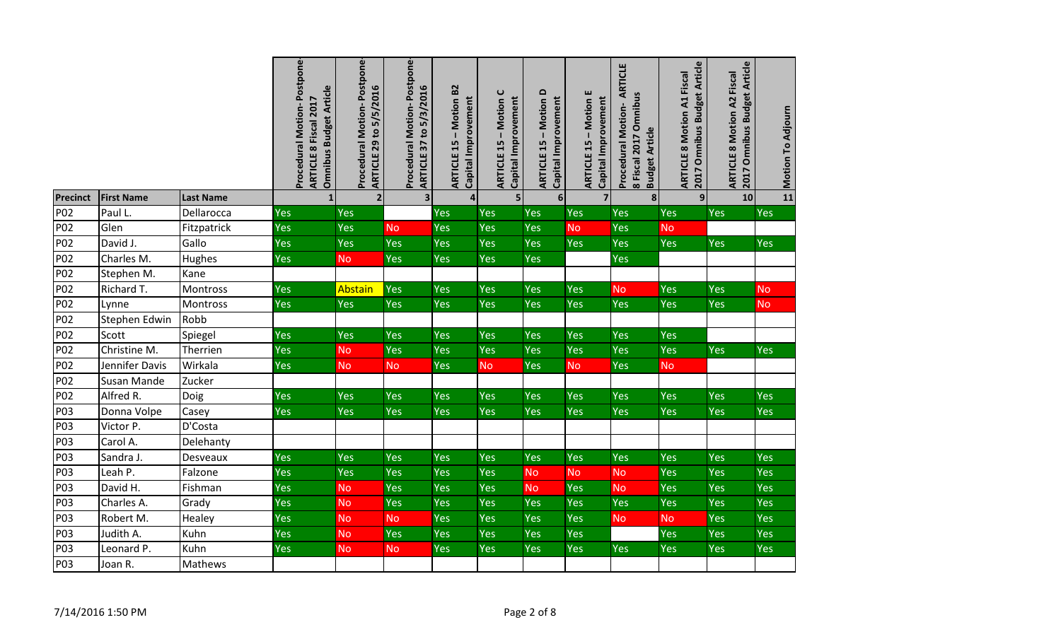|                 |                   |                  | Procedural Motion-Postpone-<br><b>Omnibus Budget Article</b><br>ARTICLE 8 Fiscal 2017 | <b>Postpone</b><br><b>ARTICLE 29 to 5/5/2016</b><br><b>Procedural Motion-</b> | Procedural Motion-Postpone-<br><b>ARTICLE 37 to 5/3/2016</b> | <b>ARTICLE 15 - Motion B2</b><br>Capital Improvement | $\mathbf{\mathsf{C}}$<br>Capital Improvement<br>Motion<br><b>ARTICLE 15</b> | - Motion D<br>Capital Improvement<br><b>ARTICLE 15</b> | <b>ARTICLE 15 - Motion E</b><br>Capital Improvement | <b>ARTICLE</b><br>8 Fiscal 2017 Omnibus<br>Procedural Motion-<br><b>Budget Article</b> | 2017 Omnibus Budget Article<br><b>ARTICLE 8 Motion A1 Fiscal</b> | 2017 Omnibus Budget Article<br><b>ARTICLE 8 Motion A2 Fiscal</b> | Motion To Adjourn |
|-----------------|-------------------|------------------|---------------------------------------------------------------------------------------|-------------------------------------------------------------------------------|--------------------------------------------------------------|------------------------------------------------------|-----------------------------------------------------------------------------|--------------------------------------------------------|-----------------------------------------------------|----------------------------------------------------------------------------------------|------------------------------------------------------------------|------------------------------------------------------------------|-------------------|
| <b>Precinct</b> | <b>First Name</b> | <b>Last Name</b> | $\mathbf{1}$                                                                          | $\overline{\mathbf{z}}$                                                       | $\overline{\mathbf{3}}$                                      | $\overline{\mathbf{4}}$                              | 5                                                                           | 6 <sup>1</sup>                                         | 7 <sup>1</sup>                                      | 8                                                                                      | $\overline{9}$                                                   | 10                                                               | 11                |
| P02             | Paul L.           | Dellarocca       | Yes                                                                                   | Yes                                                                           |                                                              | Yes                                                  | Yes                                                                         | Yes                                                    | <b>Yes</b>                                          | <b>Yes</b>                                                                             | <b>Yes</b>                                                       | <b>Yes</b>                                                       | Yes               |
| P02             | Glen              | Fitzpatrick      | Yes                                                                                   | Yes                                                                           | <b>No</b>                                                    | Yes                                                  | Yes                                                                         | Yes                                                    | <b>No</b>                                           | Yes                                                                                    | <b>No</b>                                                        |                                                                  |                   |
| P02             | David J.          | Gallo            | Yes                                                                                   | Yes                                                                           | Yes                                                          | Yes                                                  | Yes                                                                         | Yes                                                    | Yes                                                 | Yes                                                                                    | Yes                                                              | Yes                                                              | Yes               |
| P02             | Charles M.        | Hughes           | Yes                                                                                   | <b>No</b>                                                                     | Yes                                                          | Yes                                                  | Yes                                                                         | Yes                                                    |                                                     | Yes                                                                                    |                                                                  |                                                                  |                   |
| P02             | Stephen M.        | Kane             |                                                                                       |                                                                               |                                                              |                                                      |                                                                             |                                                        |                                                     |                                                                                        |                                                                  |                                                                  |                   |
| P02             | Richard T.        | Montross         | Yes                                                                                   | Abstain                                                                       | Yes                                                          | Yes                                                  | Yes                                                                         | Yes                                                    | Yes                                                 | <b>No</b>                                                                              | Yes                                                              | Yes                                                              | <b>No</b>         |
| P02             | Lynne             | Montross         | <b>Yes</b>                                                                            | Yes                                                                           | Yes                                                          | Yes                                                  | Yes                                                                         | Yes                                                    | <b>Yes</b>                                          | <b>Yes</b>                                                                             | Yes                                                              | Yes                                                              | <b>No</b>         |
| P02             | Stephen Edwin     | Robb             |                                                                                       |                                                                               |                                                              |                                                      |                                                                             |                                                        |                                                     |                                                                                        |                                                                  |                                                                  |                   |
| P02             | Scott             | Spiegel          | Yes                                                                                   | Yes                                                                           | Yes                                                          | Yes                                                  | Yes                                                                         | Yes                                                    | <b>Yes</b>                                          | Yes                                                                                    | Yes                                                              |                                                                  |                   |
| P02             | Christine M.      | Therrien         | Yes                                                                                   | <b>No</b>                                                                     | Yes                                                          | Yes                                                  | Yes                                                                         | Yes                                                    | Yes                                                 | Yes                                                                                    | Yes                                                              | <b>Yes</b>                                                       | Yes               |
| P02             | Jennifer Davis    | Wirkala          | <b>Yes</b>                                                                            | <b>No</b>                                                                     | <b>No</b>                                                    | Yes                                                  | <b>No</b>                                                                   | Yes                                                    | <b>No</b>                                           | <b>Yes</b>                                                                             | <b>No</b>                                                        |                                                                  |                   |
| P02             | Susan Mande       | Zucker           |                                                                                       |                                                                               |                                                              |                                                      |                                                                             |                                                        |                                                     |                                                                                        |                                                                  |                                                                  |                   |
| P02             | Alfred R.         | Doig             | Yes                                                                                   | Yes                                                                           | Yes                                                          | Yes                                                  | <b>Yes</b>                                                                  | <b>Yes</b>                                             | Yes                                                 | <b>Yes</b>                                                                             | Yes                                                              | Yes                                                              | <b>Yes</b>        |
| P03             | Donna Volpe       | Casey            | <b>Yes</b>                                                                            | Yes                                                                           | Yes                                                          | Yes                                                  | <b>Yes</b>                                                                  | Yes                                                    | Yes                                                 | <b>Yes</b>                                                                             | Yes                                                              | Yes                                                              | Yes               |
| P03             | Victor P.         | D'Costa          |                                                                                       |                                                                               |                                                              |                                                      |                                                                             |                                                        |                                                     |                                                                                        |                                                                  |                                                                  |                   |
| P03             | Carol A.          | Delehanty        |                                                                                       |                                                                               |                                                              |                                                      |                                                                             |                                                        |                                                     |                                                                                        |                                                                  |                                                                  |                   |
| P03             | Sandra J.         | Desveaux         | Yes                                                                                   | Yes                                                                           | Yes                                                          | Yes                                                  | Yes                                                                         | Yes                                                    | Yes                                                 | Yes                                                                                    | Yes                                                              | Yes                                                              | Yes               |
| P03             | Leah P.           | Falzone          | Yes                                                                                   | Yes                                                                           | Yes                                                          | Yes                                                  | Yes                                                                         | <b>No</b>                                              | <b>No</b>                                           | <b>No</b>                                                                              | Yes                                                              | Yes                                                              | Yes               |
| P03             | David H.          | Fishman          | Yes                                                                                   | <b>No</b>                                                                     | Yes                                                          | Yes                                                  | Yes                                                                         | <b>No</b>                                              | Yes                                                 | <b>No</b>                                                                              | Yes                                                              | Yes                                                              | Yes               |
| P03             | Charles A.        | Grady            | Yes                                                                                   | <b>No</b>                                                                     | Yes                                                          | Yes                                                  | Yes                                                                         | Yes                                                    | Yes                                                 | Yes                                                                                    | Yes                                                              | Yes                                                              | Yes               |
| P03             | Robert M.         | Healey           | Yes                                                                                   | <b>No</b>                                                                     | <b>No</b>                                                    | Yes                                                  | Yes                                                                         | Yes                                                    | Yes                                                 | <b>No</b>                                                                              | <b>No</b>                                                        | Yes                                                              | Yes               |
| P03             | Judith A.         | Kuhn             | Yes                                                                                   | <b>No</b>                                                                     | Yes                                                          | Yes                                                  | Yes                                                                         | Yes                                                    | Yes                                                 |                                                                                        | Yes                                                              | Yes                                                              | Yes               |
| P03             | Leonard P.        | Kuhn             | Yes                                                                                   | <b>No</b>                                                                     | <b>No</b>                                                    | Yes                                                  | <b>Yes</b>                                                                  | Yes                                                    | Yes                                                 | <b>Yes</b>                                                                             | <b>Yes</b>                                                       | Yes                                                              | Yes               |
| P03             | Joan R.           | Mathews          |                                                                                       |                                                                               |                                                              |                                                      |                                                                             |                                                        |                                                     |                                                                                        |                                                                  |                                                                  |                   |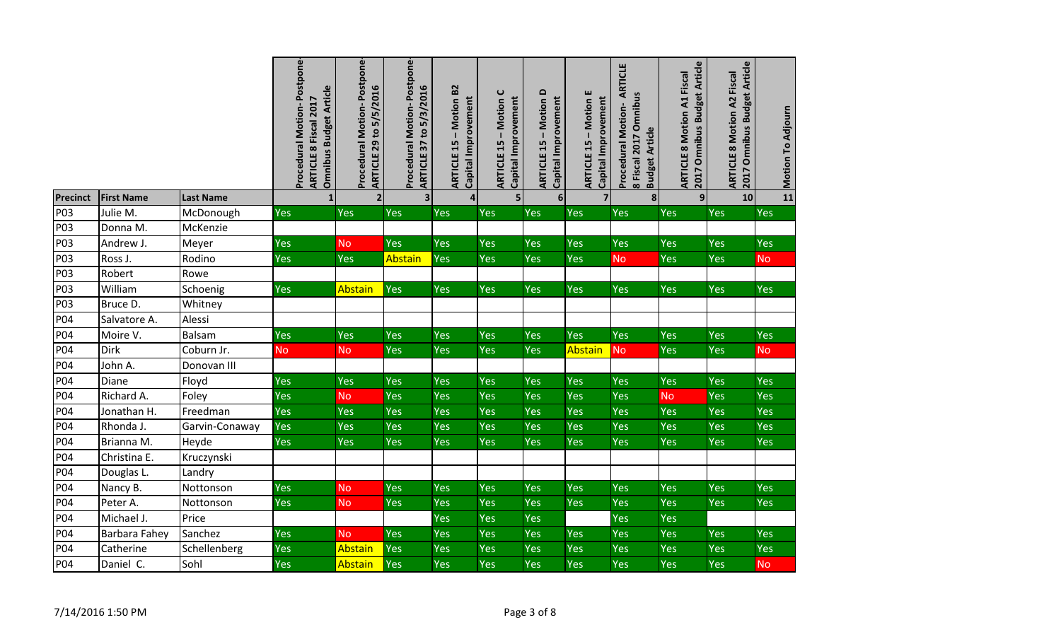|                 |                   |                  | Procedural Motion-Postpone-<br><b>Omnibus Budget Article</b><br>ARTICLE 8 Fiscal 2017 | Postpone-<br><b>ARTICLE 29 to 5/5/2016</b><br>Procedural Motion- | Procedural Motion-Postpone-<br>ARTICLE 37 to 5/3/2016 | Motion B2<br>Capital Improvement<br>$\mathbf I$<br><b>ARTICLE 15</b> | $\mathbf C$<br>Capital Improvement<br>Motion<br>$\mathbf{I}$<br><b>ARTICLE 15</b> | $\Omega$<br>Capital Improvement<br><b>Motion</b><br>$\mathbf{I}$<br><b>ARTICLE 15</b> | <b>ARTICLE 15 - Motion E</b><br>Capital Improvement | ARTICLE<br>8 Fiscal 2017 Omnibus<br>Procedural Motion-<br><b>Budget Article</b> | 2017 Omnibus Budget Article<br><b>ARTICLE 8 Motion A1 Fiscal</b> | <b>Article</b><br><b>ARTICLE 8 Motion A2 Fiscal</b><br>2017 Omnibus Budget | Motion To Adjourn |
|-----------------|-------------------|------------------|---------------------------------------------------------------------------------------|------------------------------------------------------------------|-------------------------------------------------------|----------------------------------------------------------------------|-----------------------------------------------------------------------------------|---------------------------------------------------------------------------------------|-----------------------------------------------------|---------------------------------------------------------------------------------|------------------------------------------------------------------|----------------------------------------------------------------------------|-------------------|
| <b>Precinct</b> | <b>First Name</b> | <b>Last Name</b> | $\mathbf{1}$                                                                          | $\overline{2}$                                                   | $\overline{\mathbf{3}}$                               | 4                                                                    | 5                                                                                 | 6                                                                                     | 7 <sup>1</sup>                                      | 8                                                                               | $\overline{9}$                                                   | 10                                                                         | 11                |
| P03             | Julie M.          | McDonough        | Yes                                                                                   | <b>Yes</b>                                                       | Yes                                                   | Yes                                                                  | Yes                                                                               | Yes                                                                                   | Yes                                                 | <b>Yes</b>                                                                      | Yes                                                              | Yes                                                                        | Yes               |
| P03             | Donna M.          | McKenzie         |                                                                                       |                                                                  |                                                       |                                                                      |                                                                                   |                                                                                       |                                                     |                                                                                 |                                                                  |                                                                            |                   |
| P03             | Andrew J.         | Meyer            | Yes                                                                                   | <b>No</b>                                                        | Yes                                                   | Yes                                                                  | Yes                                                                               | Yes                                                                                   | <b>Yes</b>                                          | Yes                                                                             | Yes                                                              | Yes                                                                        | Yes               |
| P03             | Ross J.           | Rodino           | Yes                                                                                   | <b>Yes</b>                                                       | Abstain                                               | Yes                                                                  | Yes                                                                               | Yes                                                                                   | Yes                                                 | <b>No</b>                                                                       | Yes                                                              | <b>Yes</b>                                                                 | <b>No</b>         |
| P03             | Robert            | Rowe             |                                                                                       |                                                                  |                                                       |                                                                      |                                                                                   |                                                                                       |                                                     |                                                                                 |                                                                  |                                                                            |                   |
| P03             | William           | Schoenig         | Yes                                                                                   | Abstain                                                          | <b>Yes</b>                                            | Yes                                                                  | Yes                                                                               | <b>Yes</b>                                                                            | Yes                                                 | <b>Yes</b>                                                                      | Yes                                                              | <b>Yes</b>                                                                 | Yes               |
| P03             | Bruce D.          | Whitney          |                                                                                       |                                                                  |                                                       |                                                                      |                                                                                   |                                                                                       |                                                     |                                                                                 |                                                                  |                                                                            |                   |
| P04             | Salvatore A.      | Alessi           |                                                                                       |                                                                  |                                                       |                                                                      |                                                                                   |                                                                                       |                                                     |                                                                                 |                                                                  |                                                                            |                   |
| P04             | Moire V.          | Balsam           | Yes                                                                                   | <b>Yes</b>                                                       | Yes                                                   | Yes                                                                  | Yes                                                                               | Yes                                                                                   | Yes                                                 | <b>Yes</b>                                                                      | Yes                                                              | <b>Yes</b>                                                                 | Yes               |
| P04             | Dirk              | Coburn Jr.       | <b>No</b>                                                                             | <b>No</b>                                                        | Yes                                                   | Yes                                                                  | Yes                                                                               | <b>Yes</b>                                                                            | Abstain                                             | N <sub>o</sub>                                                                  | Yes                                                              | Yes                                                                        | <b>No</b>         |
| P04             | John A.           | Donovan III      |                                                                                       |                                                                  |                                                       |                                                                      |                                                                                   |                                                                                       |                                                     |                                                                                 |                                                                  |                                                                            |                   |
| P04             | Diane             | Floyd            | Yes                                                                                   | Yes                                                              | Yes                                                   | Yes                                                                  | Yes                                                                               | Yes                                                                                   | Yes                                                 | Yes                                                                             | Yes                                                              | Yes                                                                        | Yes               |
| P04             | Richard A.        | Foley            | Yes                                                                                   | <b>No</b>                                                        | Yes                                                   | Yes                                                                  | Yes                                                                               | Yes                                                                                   | Yes                                                 | Yes                                                                             | No.                                                              | Yes                                                                        | Yes               |
| P04             | Jonathan H.       | Freedman         | Yes                                                                                   | <b>Yes</b>                                                       | Yes                                                   | Yes                                                                  | Yes                                                                               | Yes                                                                                   | Yes                                                 | Yes                                                                             | Yes                                                              | <b>Yes</b>                                                                 | Yes               |
| P04             | Rhonda J.         | Garvin-Conaway   | Yes                                                                                   | Yes                                                              | Yes                                                   | Yes                                                                  | Yes                                                                               | Yes                                                                                   | Yes                                                 | Yes                                                                             | Yes                                                              | Yes                                                                        | Yes               |
| P04             | Brianna M.        | Heyde            | Yes                                                                                   | Yes                                                              | Yes                                                   | Yes                                                                  | Yes                                                                               | <b>Yes</b>                                                                            | Yes                                                 | <b>Yes</b>                                                                      | Yes                                                              | <b>Yes</b>                                                                 | Yes               |
| P04             | Christina E.      | Kruczynski       |                                                                                       |                                                                  |                                                       |                                                                      |                                                                                   |                                                                                       |                                                     |                                                                                 |                                                                  |                                                                            |                   |
| P04             | Douglas L.        | Landry           |                                                                                       |                                                                  |                                                       |                                                                      |                                                                                   |                                                                                       |                                                     |                                                                                 |                                                                  |                                                                            |                   |
| P04             | Nancy B.          | Nottonson        | Yes                                                                                   | <b>No</b>                                                        | Yes                                                   | <b>Yes</b>                                                           | Yes                                                                               | Yes                                                                                   | Yes                                                 | Yes                                                                             | Yes                                                              | <b>Yes</b>                                                                 | Yes               |
| P04             | Peter A.          | Nottonson        | Yes                                                                                   | <b>No</b>                                                        | Yes                                                   | Yes                                                                  | Yes                                                                               | Yes                                                                                   | Yes                                                 | Yes                                                                             | Yes                                                              | <b>Yes</b>                                                                 | Yes               |
| P04             | Michael J.        | Price            |                                                                                       |                                                                  |                                                       | Yes                                                                  | Yes                                                                               | Yes                                                                                   |                                                     | Yes                                                                             | Yes                                                              |                                                                            |                   |
| P04             | Barbara Fahey     | Sanchez          | Yes                                                                                   | <b>No</b>                                                        | Yes                                                   | Yes                                                                  | Yes                                                                               | Yes                                                                                   | Yes                                                 | Yes                                                                             | Yes                                                              | Yes                                                                        | Yes               |
| P04             | Catherine         | Schellenberg     | Yes                                                                                   | Abstain                                                          | Yes                                                   | Yes                                                                  | Yes                                                                               | Yes                                                                                   | Yes                                                 | Yes                                                                             | Yes                                                              | Yes                                                                        | Yes               |
| P04             | Daniel C.         | Sohl             | Yes                                                                                   | Abstain                                                          | Yes                                                   | Yes                                                                  | Yes                                                                               | Yes                                                                                   | Yes                                                 | Yes                                                                             | Yes                                                              | <b>Yes</b>                                                                 | <b>No</b>         |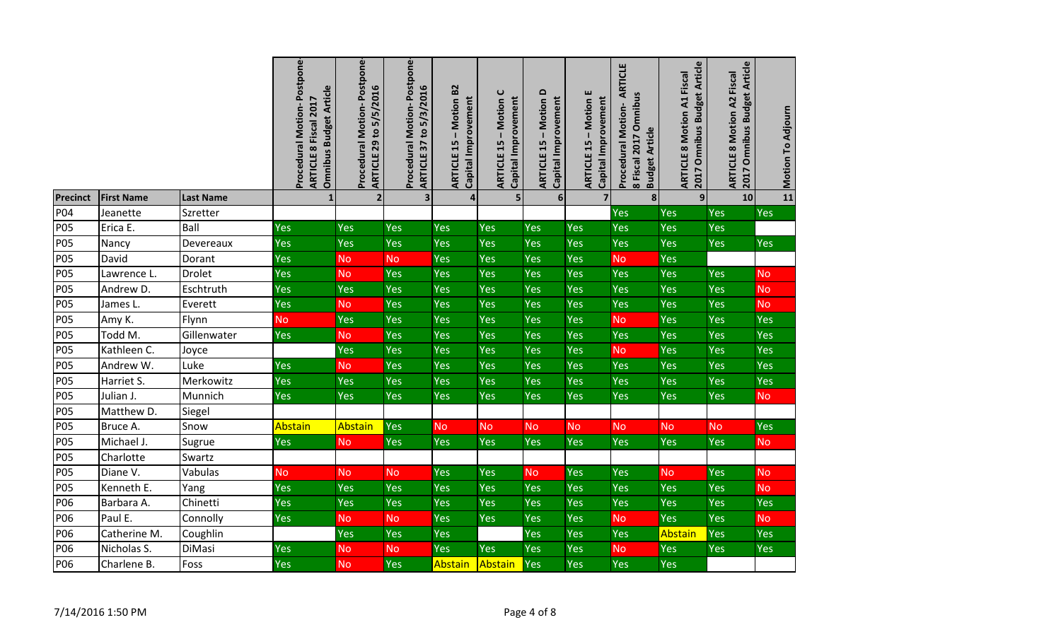|                 |                   |                  | Postpone-<br>Omnibus Budget Article<br>ARTICLE 8 Fiscal 2017<br><b>Procedural Motion-</b> | Postpone-<br><b>ARTICLE 29 to 5/5/2016</b><br>Procedural Motion- | Procedural Motion-Postpone-<br><b>ARTICLE 37 to 5/3/2016</b> | Motion B <sub>2</sub><br>Capital Improvement<br>15<br>ARTICLE | $\mathbf C$<br>Capital Improvement<br>Motion<br>$\mathbf{I}$<br>15<br><b>ARTICLE</b> | $\Omega$<br>Capital Improvement<br><b>Motion</b><br>15<br><b>ARTICLE</b> | <b>ARTICLE 15 - Motion E</b><br>Capital Improvement | ARTICLE<br>8 Fiscal 2017 Omnibus<br>Procedural Motion-<br><b>Budget Article</b> | 2017 Omnibus Budget Article<br>Motion A1 Fiscal<br>ARTICLE 8 | <b>Omnibus Budget Article</b><br><b>ARTICLE 8 Motion A2 Fiscal</b><br><b>2017</b> | Motion To Adjourn |
|-----------------|-------------------|------------------|-------------------------------------------------------------------------------------------|------------------------------------------------------------------|--------------------------------------------------------------|---------------------------------------------------------------|--------------------------------------------------------------------------------------|--------------------------------------------------------------------------|-----------------------------------------------------|---------------------------------------------------------------------------------|--------------------------------------------------------------|-----------------------------------------------------------------------------------|-------------------|
| <b>Precinct</b> | <b>First Name</b> | <b>Last Name</b> | $\mathbf{1}$                                                                              | $\overline{2}$                                                   | $\overline{\mathbf{3}}$                                      | 4                                                             | $5\overline{a}$                                                                      | 6 <sup>1</sup>                                                           | $\overline{7}$                                      | 8                                                                               | $\overline{9}$                                               | 10                                                                                | 11                |
| P04             | Jeanette          | Szretter         |                                                                                           |                                                                  |                                                              |                                                               |                                                                                      |                                                                          |                                                     | Yes                                                                             | <b>Yes</b>                                                   | Yes                                                                               | Yes               |
| <b>P05</b>      | Erica E.          | Ball             | Yes                                                                                       | Yes                                                              | Yes                                                          | Yes                                                           | Yes                                                                                  | Yes                                                                      | Yes                                                 | Yes                                                                             | Yes                                                          | Yes                                                                               |                   |
| <b>P05</b>      | Nancy             | Devereaux        | Yes                                                                                       | <b>Yes</b>                                                       | Yes                                                          | Yes                                                           | Yes                                                                                  | Yes                                                                      | Yes                                                 | Yes                                                                             | <b>Yes</b>                                                   | Yes                                                                               | Yes               |
| <b>P05</b>      | David             | Dorant           | <b>Yes</b>                                                                                | <b>No</b>                                                        | <b>No</b>                                                    | Yes                                                           | Yes                                                                                  | Yes                                                                      | Yes                                                 | <b>No</b>                                                                       | Yes                                                          |                                                                                   |                   |
| <b>P05</b>      | Lawrence L.       | Drolet           | Yes                                                                                       | <b>No</b>                                                        | Yes                                                          | Yes                                                           | Yes                                                                                  | Yes                                                                      | Yes                                                 | Yes                                                                             | Yes                                                          | Yes                                                                               | <b>No</b>         |
| <b>P05</b>      | Andrew D.         | Eschtruth        | <b>Yes</b>                                                                                | <b>Yes</b>                                                       | Yes                                                          | Yes                                                           | Yes                                                                                  | Yes                                                                      | Yes                                                 | Yes                                                                             | <b>Yes</b>                                                   | Yes                                                                               | <b>No</b>         |
| <b>P05</b>      | James L.          | Everett          | Yes                                                                                       | <b>No</b>                                                        | Yes                                                          | Yes                                                           | Yes                                                                                  | Yes                                                                      | Yes                                                 | Yes                                                                             | Yes                                                          | <b>Yes</b>                                                                        | <b>No</b>         |
| <b>P05</b>      | Amy K.            | Flynn            | <b>No</b>                                                                                 | Yes                                                              | Yes                                                          | Yes                                                           | Yes                                                                                  | Yes                                                                      | Yes                                                 | <b>No</b>                                                                       | Yes                                                          | Yes                                                                               | Yes               |
| <b>P05</b>      | Todd M.           | Gillenwater      | <b>Yes</b>                                                                                | <b>No</b>                                                        | Yes                                                          | Yes                                                           | Yes                                                                                  | Yes                                                                      | Yes                                                 | Yes                                                                             | Yes                                                          | Yes                                                                               | Yes               |
| <b>P05</b>      | Kathleen C.       | Joyce            |                                                                                           | Yes                                                              | Yes                                                          | Yes                                                           | Yes                                                                                  | Yes                                                                      | Yes                                                 | <b>No</b>                                                                       | Yes                                                          | Yes                                                                               | Yes               |
| <b>P05</b>      | Andrew W.         | Luke             | Yes                                                                                       | <b>No</b>                                                        | Yes                                                          | Yes                                                           | Yes                                                                                  | Yes                                                                      | Yes                                                 | Yes                                                                             | <b>Yes</b>                                                   | Yes                                                                               | Yes               |
| <b>P05</b>      | Harriet S.        | Merkowitz        | Yes                                                                                       | Yes                                                              | Yes                                                          | Yes                                                           | Yes                                                                                  | Yes                                                                      | Yes                                                 | Yes                                                                             | Yes                                                          | Yes                                                                               | Yes               |
| <b>P05</b>      | Julian J.         | Munnich          | Yes                                                                                       | <b>Yes</b>                                                       | Yes                                                          | Yes                                                           | Yes                                                                                  | Yes                                                                      | Yes                                                 | <b>Yes</b>                                                                      | Yes                                                          | Yes                                                                               | <b>No</b>         |
| <b>P05</b>      | Matthew D.        | Siegel           |                                                                                           |                                                                  |                                                              |                                                               |                                                                                      |                                                                          |                                                     |                                                                                 |                                                              |                                                                                   |                   |
| <b>P05</b>      | Bruce A.          | Snow             | Abstain                                                                                   | Abstain                                                          | Yes                                                          | <b>No</b>                                                     | <b>No</b>                                                                            | <b>No</b>                                                                | <b>No</b>                                           | <b>No</b>                                                                       | <b>No</b>                                                    | <b>No</b>                                                                         | Yes               |
| <b>P05</b>      | Michael J.        | Sugrue           | <b>Yes</b>                                                                                | <b>No</b>                                                        | Yes                                                          | Yes                                                           | Yes                                                                                  | Yes                                                                      | Yes                                                 | Yes                                                                             | <b>Yes</b>                                                   | <b>Yes</b>                                                                        | <b>No</b>         |
| <b>P05</b>      | Charlotte         | Swartz           |                                                                                           |                                                                  |                                                              |                                                               |                                                                                      |                                                                          |                                                     |                                                                                 |                                                              |                                                                                   |                   |
| <b>P05</b>      | Diane V.          | Vabulas          | <b>No</b>                                                                                 | <b>No</b>                                                        | <b>No</b>                                                    | Yes                                                           | Yes                                                                                  | <b>No</b>                                                                | Yes                                                 | Yes                                                                             | <b>No</b>                                                    | Yes                                                                               | <b>No</b>         |
| <b>P05</b>      | Kenneth E.        | Yang             | Yes                                                                                       | Yes                                                              | Yes                                                          | Yes                                                           | Yes                                                                                  | Yes                                                                      | Yes                                                 | Yes                                                                             | <b>Yes</b>                                                   | Yes                                                                               | <b>No</b>         |
| P06             | Barbara A.        | Chinetti         | Yes                                                                                       | Yes                                                              | Yes                                                          | Yes                                                           | Yes                                                                                  | Yes                                                                      | Yes                                                 | Yes                                                                             | <b>Yes</b>                                                   | Yes                                                                               | Yes               |
| P06             | Paul E.           | Connolly         | Yes                                                                                       | <b>No</b>                                                        | <b>No</b>                                                    | Yes                                                           | Yes                                                                                  | Yes                                                                      | Yes                                                 | <b>No</b>                                                                       | <b>Yes</b>                                                   | Yes                                                                               | <b>No</b>         |
| P06             | Catherine M.      | Coughlin         |                                                                                           | Yes                                                              | Yes                                                          | Yes                                                           |                                                                                      | Yes                                                                      | Yes                                                 | Yes                                                                             | Abstain                                                      | Yes                                                                               | Yes               |
| P06             | Nicholas S.       | DiMasi           | Yes                                                                                       | <b>No</b>                                                        | <b>No</b>                                                    | Yes                                                           | Yes                                                                                  | Yes                                                                      | Yes                                                 | <b>No</b>                                                                       | <b>Yes</b>                                                   | Yes                                                                               | <b>Yes</b>        |
| P06             | Charlene B.       | Foss             | Yes                                                                                       | <b>No</b>                                                        | Yes                                                          | Abstain                                                       | Abstain                                                                              | Yes                                                                      | Yes                                                 | Yes                                                                             | Yes                                                          |                                                                                   |                   |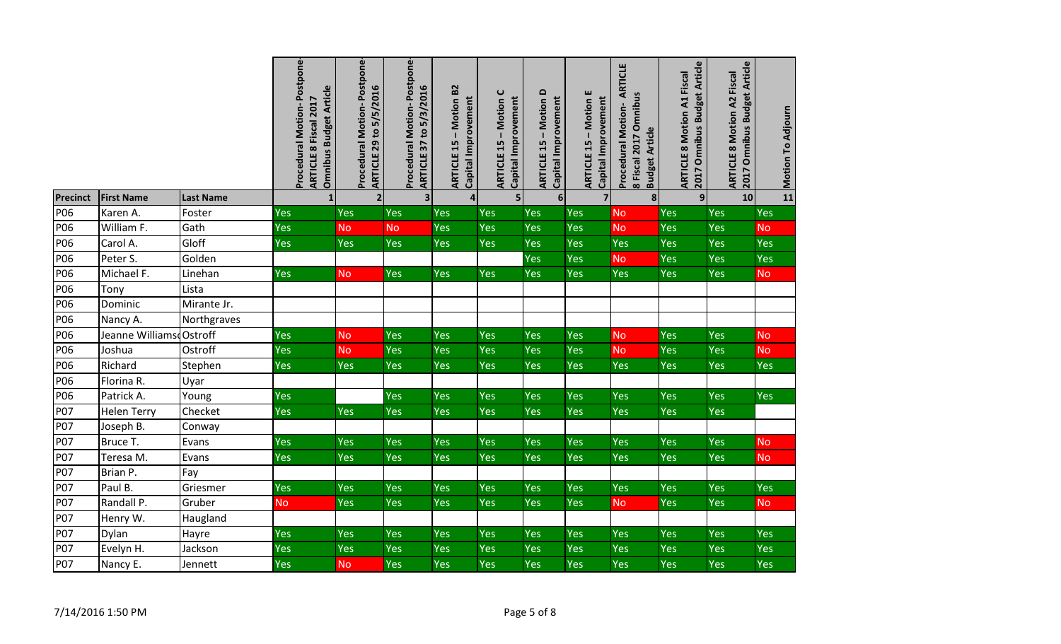|                 |                         |                  | Procedural Motion-Postpone-<br><b>Omnibus Budget Article</b><br>ARTICLE 8 Fiscal 2017 | Postpone-<br><b>ARTICLE 29 to 5/5/2016</b><br>Procedural Motion- | Procedural Motion-Postpone-<br><b>ARTICLE 37 to 5/3/2016</b> | - Motion B2<br>Capital Improvement<br><b>ARTICLE 15</b> | ပ<br>Capital Improvement<br><b>Motion</b><br><b>ARTICLE 15</b> | - Motion D<br>Capital Improvement<br><b>ARTICLE 15</b> | <b>ARTICLE 15 - Motion E</b><br>Capital Improvement | ARTICLE<br>8 Fiscal 2017 Omnibus<br>Procedural Motion-<br><b>Budget Article</b> | 2017 Omnibus Budget Article<br><b>ARTICLE 8 Motion A1 Fiscal</b> | <b>ARTICLE 8 Motion A2 Fiscal<br/>2017 Omnibus Budget Article</b> | Motion To Adjourn |
|-----------------|-------------------------|------------------|---------------------------------------------------------------------------------------|------------------------------------------------------------------|--------------------------------------------------------------|---------------------------------------------------------|----------------------------------------------------------------|--------------------------------------------------------|-----------------------------------------------------|---------------------------------------------------------------------------------|------------------------------------------------------------------|-------------------------------------------------------------------|-------------------|
| <b>Precinct</b> | <b>First Name</b>       | <b>Last Name</b> | 1                                                                                     | $\overline{2}$                                                   | $\overline{\mathbf{3}}$                                      | $\overline{\mathbf{4}}$                                 | 5                                                              | $6 \overline{6}$                                       | 7 <sup>1</sup>                                      | 8                                                                               | 9                                                                | 10                                                                | 11                |
| <b>P06</b>      | Karen A.                | Foster           | Yes                                                                                   | Yes                                                              | Yes                                                          | Yes                                                     | <b>Yes</b>                                                     | <b>Yes</b>                                             | <b>Yes</b>                                          | <b>No</b>                                                                       | Yes                                                              | Yes                                                               | Yes               |
| P06             | William F.              | Gath             | Yes                                                                                   | <b>No</b>                                                        | <b>No</b>                                                    | Yes                                                     | Yes                                                            | Yes                                                    | <b>Yes</b>                                          | <b>No</b>                                                                       | Yes                                                              | Yes                                                               | <b>No</b>         |
| P06             | Carol A.                | Gloff            | Yes                                                                                   | Yes                                                              | Yes                                                          | Yes                                                     | Yes                                                            | Yes                                                    | Yes                                                 | <b>Yes</b>                                                                      | Yes                                                              | Yes                                                               | Yes               |
| P06             | Peter S.                | Golden           |                                                                                       |                                                                  |                                                              |                                                         |                                                                | Yes                                                    | Yes                                                 | <b>No</b>                                                                       | Yes                                                              | Yes                                                               | Yes               |
| P06             | Michael F.              | Linehan          | Yes                                                                                   | <b>No</b>                                                        | Yes                                                          | <b>Yes</b>                                              | Yes                                                            | <b>Yes</b>                                             | <b>Yes</b>                                          | Yes                                                                             | <b>Yes</b>                                                       | Yes                                                               | <b>No</b>         |
| P06             | Tony                    | Lista            |                                                                                       |                                                                  |                                                              |                                                         |                                                                |                                                        |                                                     |                                                                                 |                                                                  |                                                                   |                   |
| P06             | Dominic                 | Mirante Jr.      |                                                                                       |                                                                  |                                                              |                                                         |                                                                |                                                        |                                                     |                                                                                 |                                                                  |                                                                   |                   |
| P06             | Nancy A.                | Northgraves      |                                                                                       |                                                                  |                                                              |                                                         |                                                                |                                                        |                                                     |                                                                                 |                                                                  |                                                                   |                   |
| P06             | Jeanne Williams Ostroff |                  | Yes                                                                                   | <b>No</b>                                                        | Yes                                                          | Yes                                                     | Yes                                                            | <b>Yes</b>                                             | Yes                                                 | <b>No</b>                                                                       | Yes                                                              | Yes                                                               | <b>No</b>         |
| P06             | Joshua                  | Ostroff          | Yes                                                                                   | <b>No</b>                                                        | Yes                                                          | Yes                                                     | Yes                                                            | Yes                                                    | Yes                                                 | <b>No</b>                                                                       | Yes                                                              | Yes                                                               | <b>No</b>         |
| P06             | Richard                 | Stephen          | Yes                                                                                   | Yes                                                              | Yes                                                          | Yes                                                     | <b>Yes</b>                                                     | <b>Yes</b>                                             | <b>Yes</b>                                          | <b>Yes</b>                                                                      | Yes                                                              | Yes                                                               | Yes               |
| P06             | Florina R.              | Uyar             |                                                                                       |                                                                  |                                                              |                                                         |                                                                |                                                        |                                                     |                                                                                 |                                                                  |                                                                   |                   |
| P06             | Patrick A.              | Young            | Yes                                                                                   |                                                                  | Yes                                                          | Yes                                                     | Yes                                                            | Yes                                                    | <b>Yes</b>                                          | Yes                                                                             | Yes                                                              | Yes                                                               | Yes               |
| P07             | <b>Helen Terry</b>      | Checket          | Yes                                                                                   | Yes                                                              | Yes                                                          | Yes                                                     | Yes                                                            | Yes                                                    | Yes                                                 | Yes                                                                             | Yes                                                              | Yes                                                               |                   |
| P07             | Joseph B.               | Conway           |                                                                                       |                                                                  |                                                              |                                                         |                                                                |                                                        |                                                     |                                                                                 |                                                                  |                                                                   |                   |
| <b>P07</b>      | Bruce T.                | Evans            | Yes                                                                                   | Yes                                                              | Yes                                                          | Yes                                                     | Yes                                                            | Yes                                                    | Yes                                                 | <b>Yes</b>                                                                      | Yes                                                              | Yes                                                               | <b>No</b>         |
| P07             | Teresa M.               | Evans            | Yes                                                                                   | Yes                                                              | Yes                                                          | Yes                                                     | Yes                                                            | Yes                                                    | Yes                                                 | Yes                                                                             | Yes                                                              | Yes                                                               | <b>No</b>         |
| <b>P07</b>      | Brian P.                | Fay              |                                                                                       |                                                                  |                                                              |                                                         |                                                                |                                                        |                                                     |                                                                                 |                                                                  |                                                                   |                   |
| <b>P07</b>      | Paul B.                 | Griesmer         | Yes                                                                                   | Yes                                                              | Yes                                                          | Yes                                                     | Yes                                                            | Yes                                                    | Yes                                                 | Yes                                                                             | Yes                                                              | Yes                                                               | Yes               |
| P07             | Randall P.              | Gruber           | <b>No</b>                                                                             | Yes                                                              | Yes                                                          | Yes                                                     | Yes                                                            | <b>Yes</b>                                             | <b>Yes</b>                                          | <b>No</b>                                                                       | Yes                                                              | Yes                                                               | <b>No</b>         |
| <b>P07</b>      | Henry W.                | Haugland         |                                                                                       |                                                                  |                                                              |                                                         |                                                                |                                                        |                                                     |                                                                                 |                                                                  |                                                                   |                   |
| <b>P07</b>      | Dylan                   | Hayre            | Yes                                                                                   | Yes                                                              | Yes                                                          | Yes                                                     | Yes                                                            | Yes                                                    | Yes                                                 | <b>Yes</b>                                                                      | Yes                                                              | Yes                                                               | <b>Yes</b>        |
| <b>P07</b>      | Evelyn H.               | Jackson          | Yes                                                                                   | Yes                                                              | Yes                                                          | Yes                                                     | Yes                                                            | Yes                                                    | <b>Yes</b>                                          | <b>Yes</b>                                                                      | Yes                                                              | Yes                                                               | <b>Yes</b>        |
| P07             | Nancy E.                | Jennett          | Yes                                                                                   | <b>No</b>                                                        | Yes                                                          | Yes                                                     | Yes                                                            | Yes                                                    | Yes                                                 | Yes                                                                             | Yes                                                              | Yes                                                               | Yes               |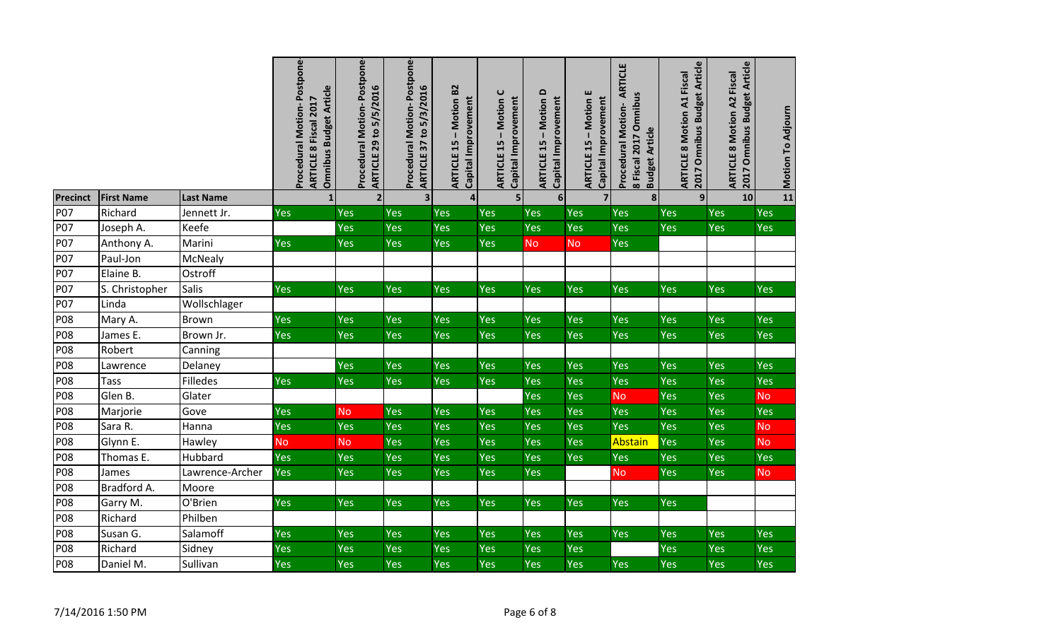|                 |                   |                  | Procedural Motion-Postpone-<br><b>Omnibus Budget Article</b><br>ARTICLE 8 Fiscal 2017 | Postpone-<br><b>ARTICLE 29 to 5/5/2016</b><br><b>Procedural Motion-</b> | Procedural Motion-Postpone-<br>ARTICLE 37 to 5/3/2016 | Motion B2<br>Capital Improvement<br>ARTICLE 15- | $\mathbf C$<br>Capital Improvement<br>Motion<br>15<br><b>ARTICLE</b> | $\mathbf{a}$<br>Capital Improvement<br><b>Motion</b><br>$\mathbf I$<br>15<br><b>ARTICLE</b> | <b>ARTICLE 15 - Motion E</b><br>Capital Improvement | <b>ARTICLE</b><br>8 Fiscal 2017 Omnibus<br>Procedural Motion-<br><b>Budget Article</b> | 2017 Omnibus Budget Article<br><b>ARTICLE 8 Motion A1 Fiscal</b> | 2017 Omnibus Budget Article<br><b>ARTICLE 8 Motion A2 Fiscal</b> | Motion To Adjourn |
|-----------------|-------------------|------------------|---------------------------------------------------------------------------------------|-------------------------------------------------------------------------|-------------------------------------------------------|-------------------------------------------------|----------------------------------------------------------------------|---------------------------------------------------------------------------------------------|-----------------------------------------------------|----------------------------------------------------------------------------------------|------------------------------------------------------------------|------------------------------------------------------------------|-------------------|
| <b>Precinct</b> | <b>First Name</b> | <b>Last Name</b> | $\mathbf{1}$                                                                          | $\overline{\mathbf{2}}$                                                 | $\overline{\mathbf{3}}$                               | 4                                               | 5                                                                    | $6 \overline{6}$                                                                            | $\overline{7}$                                      | 8                                                                                      | $\overline{9}$                                                   | 10                                                               | 11                |
| <b>P07</b>      | Richard           | Jennett Jr.      | Yes                                                                                   | <b>Yes</b>                                                              | Yes                                                   | Yes                                             | Yes                                                                  | <b>Yes</b>                                                                                  | Yes                                                 | Yes                                                                                    | <b>Yes</b>                                                       | Yes                                                              | Yes               |
| P07             | Joseph A.         | Keefe            |                                                                                       | Yes                                                                     | Yes                                                   | Yes                                             | Yes                                                                  | Yes                                                                                         | <b>Yes</b>                                          | Yes                                                                                    | Yes                                                              | Yes                                                              | Yes               |
| <b>P07</b>      | Anthony A.        | Marini           | Yes                                                                                   | Yes                                                                     | Yes                                                   | Yes                                             | Yes                                                                  | <b>No</b>                                                                                   | <b>No</b>                                           | Yes                                                                                    |                                                                  |                                                                  |                   |
| P07             | Paul-Jon          | McNealy          |                                                                                       |                                                                         |                                                       |                                                 |                                                                      |                                                                                             |                                                     |                                                                                        |                                                                  |                                                                  |                   |
| <b>P07</b>      | Elaine B.         | Ostroff          |                                                                                       |                                                                         |                                                       |                                                 |                                                                      |                                                                                             |                                                     |                                                                                        |                                                                  |                                                                  |                   |
| P07             | S. Christopher    | Salis            | Yes                                                                                   | <b>Yes</b>                                                              | Yes                                                   | Yes                                             | Yes                                                                  | <b>Yes</b>                                                                                  | Yes                                                 | <b>Yes</b>                                                                             | <b>Yes</b>                                                       | <b>Yes</b>                                                       | Yes               |
| <b>P07</b>      | Linda             | Wollschlager     |                                                                                       |                                                                         |                                                       |                                                 |                                                                      |                                                                                             |                                                     |                                                                                        |                                                                  |                                                                  |                   |
| <b>P08</b>      | Mary A.           | Brown            | Yes                                                                                   | Yes                                                                     | Yes                                                   | Yes                                             | Yes                                                                  | Yes                                                                                         | <b>Yes</b>                                          | <b>Yes</b>                                                                             | Yes                                                              | Yes                                                              | <b>Yes</b>        |
| <b>P08</b>      | James E.          | Brown Jr.        | Yes                                                                                   | Yes                                                                     | Yes                                                   | Yes                                             | Yes                                                                  | Yes                                                                                         | Yes                                                 | Yes                                                                                    | Yes                                                              | Yes                                                              | Yes               |
| <b>P08</b>      | Robert            | Canning          |                                                                                       |                                                                         |                                                       |                                                 |                                                                      |                                                                                             |                                                     |                                                                                        |                                                                  |                                                                  |                   |
| <b>P08</b>      | Lawrence          | Delaney          |                                                                                       | Yes                                                                     | Yes                                                   | Yes                                             | Yes                                                                  | <b>Yes</b>                                                                                  | Yes                                                 | Yes                                                                                    | Yes                                                              | Yes                                                              | Yes               |
| <b>P08</b>      | <b>Tass</b>       | Filledes         | Yes                                                                                   | Yes                                                                     | Yes                                                   | Yes                                             | Yes                                                                  | Yes                                                                                         | <b>Yes</b>                                          | Yes                                                                                    | Yes                                                              | Yes                                                              | Yes               |
| P08             | Glen B.           | Glater           |                                                                                       |                                                                         |                                                       |                                                 |                                                                      | Yes                                                                                         | Yes                                                 | <b>No</b>                                                                              | Yes                                                              | Yes                                                              | <b>No</b>         |
| <b>P08</b>      | Marjorie          | Gove             | Yes                                                                                   | <b>No</b>                                                               | Yes                                                   | Yes                                             | Yes                                                                  | Yes                                                                                         | Yes                                                 | Yes                                                                                    | Yes                                                              | Yes                                                              | Yes               |
| P08             | Sara R.           | Hanna            | Yes                                                                                   | <b>Yes</b>                                                              | Yes                                                   | Yes                                             | Yes                                                                  | Yes                                                                                         | Yes                                                 | Yes                                                                                    | Yes                                                              | Yes                                                              | <b>No</b>         |
| P08             | Glynn E.          | Hawley           | <b>No</b>                                                                             | <b>No</b>                                                               | Yes                                                   | Yes                                             | Yes                                                                  | Yes                                                                                         | Yes                                                 | Abstain                                                                                | Yes                                                              | Yes                                                              | <b>No</b>         |
| <b>P08</b>      | Thomas E.         | Hubbard          | <b>Yes</b>                                                                            | Yes                                                                     | Yes                                                   | Yes                                             | Yes                                                                  | Yes                                                                                         | Yes                                                 | <b>Yes</b>                                                                             | Yes                                                              | Yes                                                              | Yes               |
| <b>P08</b>      | James             | Lawrence-Archer  | Yes                                                                                   | Yes                                                                     | Yes                                                   | Yes                                             | Yes                                                                  | Yes                                                                                         |                                                     | <b>No</b>                                                                              | Yes                                                              | Yes                                                              | <b>No</b>         |
| P08             | Bradford A.       | Moore            |                                                                                       |                                                                         |                                                       |                                                 |                                                                      |                                                                                             |                                                     |                                                                                        |                                                                  |                                                                  |                   |
| <b>P08</b>      | Garry M.          | O'Brien          | Yes                                                                                   | Yes                                                                     | Yes                                                   | Yes                                             | Yes                                                                  | Yes                                                                                         | Yes                                                 | <b>Yes</b>                                                                             | <b>Yes</b>                                                       |                                                                  |                   |
| <b>P08</b>      | Richard           | Philben          |                                                                                       |                                                                         |                                                       |                                                 |                                                                      |                                                                                             |                                                     |                                                                                        |                                                                  |                                                                  |                   |
| <b>P08</b>      | Susan G.          | Salamoff         | Yes                                                                                   | Yes                                                                     | Yes                                                   | Yes                                             | Yes                                                                  | Yes                                                                                         | Yes                                                 | <b>Yes</b>                                                                             | Yes                                                              | Yes                                                              | Yes               |
| P08             | Richard           | Sidney           | Yes                                                                                   | <b>Yes</b>                                                              | Yes                                                   | Yes                                             | Yes                                                                  | Yes                                                                                         | <b>Yes</b>                                          |                                                                                        | Yes                                                              | Yes                                                              | Yes               |
| <b>P08</b>      | Daniel M.         | Sullivan         | Yes                                                                                   | Yes                                                                     | Yes                                                   | Yes                                             | Yes                                                                  | Yes                                                                                         | Yes                                                 | Yes                                                                                    | Yes                                                              | Yes                                                              | Yes               |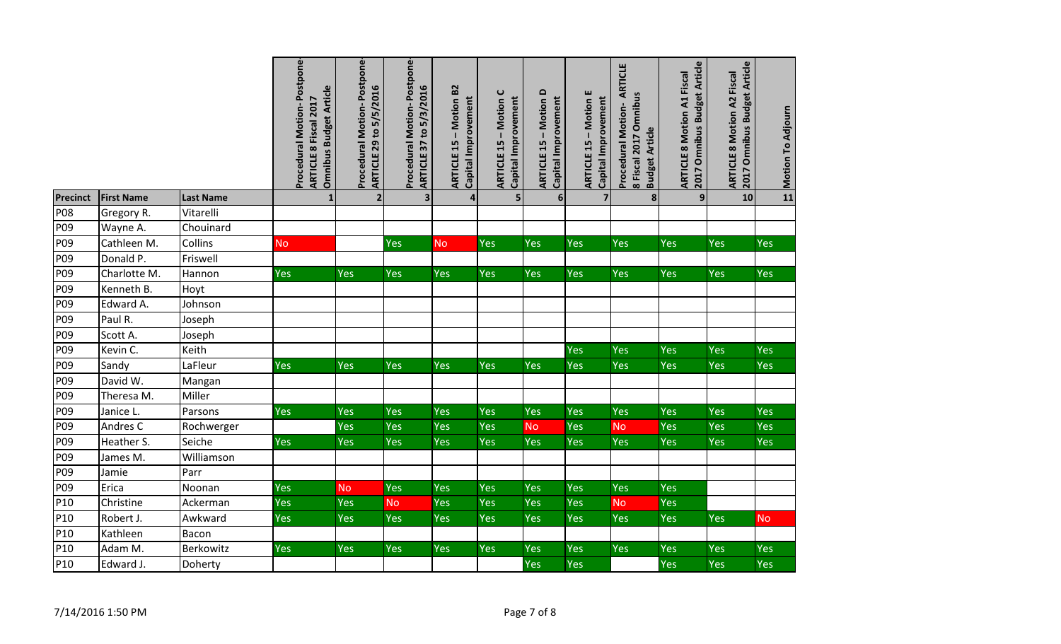|                 |                   |                  | Procedural Motion-Postpone-<br>Omnibus Budget Article<br>ARTICLE 8 Fiscal 2017 | Procedural Motion-Postpone-<br><b>ARTICLE 29 to 5/5/2016</b> | Procedural Motion-Postpone-<br>ARTICLE 37 to 5/3/2016 | <b>ARTICLE 15 - Motion B2</b><br>Capital Improvement | $\cup$<br>Capital Improvement<br>Motion<br><b>ARTICLE 15</b> | <b>ARTICLE 15 - Motion D</b><br>Capital Improvement | <b>ARTICLE 15 - Motion E</b><br>Capital Improvement | <b>ARTICLE</b><br>8 Fiscal 2017 Omnibus<br>Procedural Motion-<br><b>Budget Article</b> | 2017 Omnibus Budget Article<br><b>ARTICLE 8 Motion A1 Fiscal</b> | ARTICLE 8 Motion A2 Fiscal<br>2017 Omnibus Budget Article | Motion To Adjourn |
|-----------------|-------------------|------------------|--------------------------------------------------------------------------------|--------------------------------------------------------------|-------------------------------------------------------|------------------------------------------------------|--------------------------------------------------------------|-----------------------------------------------------|-----------------------------------------------------|----------------------------------------------------------------------------------------|------------------------------------------------------------------|-----------------------------------------------------------|-------------------|
| <b>Precinct</b> | <b>First Name</b> | <b>Last Name</b> | 1                                                                              | $\overline{2}$                                               | 3                                                     | $\overline{\mathbf{4}}$                              | 5                                                            | $6\overline{6}$                                     | $\overline{7}$                                      | 8 <sup>1</sup>                                                                         | 9                                                                | 10                                                        | 11                |
| <b>P08</b>      | Gregory R.        | Vitarelli        |                                                                                |                                                              |                                                       |                                                      |                                                              |                                                     |                                                     |                                                                                        |                                                                  |                                                           |                   |
| P09             | Wayne A.          | Chouinard        |                                                                                |                                                              |                                                       |                                                      |                                                              |                                                     |                                                     |                                                                                        |                                                                  |                                                           |                   |
| P09             | Cathleen M.       | Collins          | <b>No</b>                                                                      |                                                              | Yes                                                   | <b>No</b>                                            | Yes                                                          | Yes                                                 | <b>Yes</b>                                          | Yes                                                                                    | Yes                                                              | Yes                                                       | Yes               |
| P09             | Donald P.         | Friswell         |                                                                                |                                                              |                                                       |                                                      |                                                              |                                                     |                                                     |                                                                                        |                                                                  |                                                           |                   |
| P09             | Charlotte M.      | Hannon           | Yes                                                                            | <b>Yes</b>                                                   | Yes                                                   | Yes                                                  | <b>Yes</b>                                                   | <b>Yes</b>                                          | <b>Yes</b>                                          | <b>Yes</b>                                                                             | <b>Yes</b>                                                       | Yes                                                       | <b>Yes</b>        |
| P09             | Kenneth B.        | Hoyt             |                                                                                |                                                              |                                                       |                                                      |                                                              |                                                     |                                                     |                                                                                        |                                                                  |                                                           |                   |
| P09             | Edward A.         | Johnson          |                                                                                |                                                              |                                                       |                                                      |                                                              |                                                     |                                                     |                                                                                        |                                                                  |                                                           |                   |
| P09             | Paul R.           | Joseph           |                                                                                |                                                              |                                                       |                                                      |                                                              |                                                     |                                                     |                                                                                        |                                                                  |                                                           |                   |
| P09             | Scott A.          | Joseph           |                                                                                |                                                              |                                                       |                                                      |                                                              |                                                     |                                                     |                                                                                        |                                                                  |                                                           |                   |
| P09             | Kevin C.          | Keith            |                                                                                |                                                              |                                                       |                                                      |                                                              |                                                     | Yes                                                 | <b>Yes</b>                                                                             | Yes                                                              | Yes                                                       | Yes               |
| P09             | Sandy             | LaFleur          | Yes                                                                            | Yes                                                          | Yes                                                   | Yes                                                  | <b>Yes</b>                                                   | <b>Yes</b>                                          | <b>Yes</b>                                          | Yes                                                                                    | Yes                                                              | Yes                                                       | Yes               |
| P09             | David W.          | Mangan           |                                                                                |                                                              |                                                       |                                                      |                                                              |                                                     |                                                     |                                                                                        |                                                                  |                                                           |                   |
| P09             | Theresa M.        | Miller           |                                                                                |                                                              |                                                       |                                                      |                                                              |                                                     |                                                     |                                                                                        |                                                                  |                                                           |                   |
| P <sub>09</sub> | Janice L.         | Parsons          | Yes                                                                            | Yes                                                          | Yes                                                   | Yes                                                  | <b>Yes</b>                                                   | Yes                                                 | <b>Yes</b>                                          | Yes                                                                                    | Yes                                                              | Yes                                                       | Yes               |
| P09             | Andres C          | Rochwerger       |                                                                                | Yes                                                          | Yes                                                   | Yes                                                  | Yes                                                          | <b>No</b>                                           | Yes                                                 | <b>No</b>                                                                              | Yes                                                              | Yes                                                       | <b>Yes</b>        |
| P09             | Heather S.        | Seiche           | Yes                                                                            | Yes                                                          | Yes                                                   | Yes                                                  | <b>Yes</b>                                                   | <b>Yes</b>                                          | <b>Yes</b>                                          | Yes                                                                                    | Yes                                                              | Yes                                                       | <b>Yes</b>        |
| P09             | James M.          | Williamson       |                                                                                |                                                              |                                                       |                                                      |                                                              |                                                     |                                                     |                                                                                        |                                                                  |                                                           |                   |
| P09             | Jamie             | Parr             |                                                                                |                                                              |                                                       |                                                      |                                                              |                                                     |                                                     |                                                                                        |                                                                  |                                                           |                   |
| P09             | Erica             | Noonan           | Yes                                                                            | <b>No</b>                                                    | Yes                                                   | Yes                                                  | Yes                                                          | <b>Yes</b>                                          | Yes                                                 | <b>Yes</b>                                                                             | Yes                                                              |                                                           |                   |
| P <sub>10</sub> | Christine         | Ackerman         | Yes                                                                            | Yes                                                          | <b>No</b>                                             | Yes                                                  | Yes                                                          | Yes                                                 | Yes                                                 | <b>No</b>                                                                              | Yes                                                              |                                                           |                   |
| P10             | Robert J.         | Awkward          | Yes                                                                            | Yes                                                          | Yes                                                   | Yes                                                  | <b>Yes</b>                                                   | <b>Yes</b>                                          | <b>Yes</b>                                          | Yes                                                                                    | Yes                                                              | Yes                                                       | <b>No</b>         |
| P10             | Kathleen          | Bacon            |                                                                                |                                                              |                                                       |                                                      |                                                              |                                                     |                                                     |                                                                                        |                                                                  |                                                           |                   |
| P10             | Adam M.           | Berkowitz        | Yes                                                                            | Yes                                                          | Yes                                                   | Yes                                                  | <b>Yes</b>                                                   | Yes                                                 | Yes                                                 | <b>Yes</b>                                                                             | Yes                                                              | Yes                                                       | Yes               |
| P10             | Edward J.         | Doherty          |                                                                                |                                                              |                                                       |                                                      |                                                              | Yes                                                 | Yes                                                 |                                                                                        | Yes                                                              | Yes                                                       | Yes               |